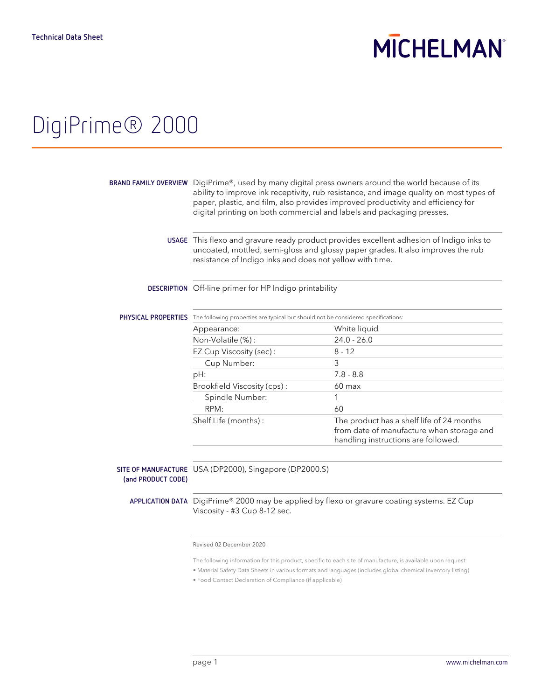## **MICHELMAN**

# DigiPrime® 2000

|                    | BRAND FAMILY OVERVIEW DigiPrime®, used by many digital press owners around the world because of its<br>ability to improve ink receptivity, rub resistance, and image quality on most types of<br>paper, plastic, and film, also provides improved productivity and efficiency for<br>digital printing on both commercial and labels and packaging presses. |                                                                                                                               |  |
|--------------------|------------------------------------------------------------------------------------------------------------------------------------------------------------------------------------------------------------------------------------------------------------------------------------------------------------------------------------------------------------|-------------------------------------------------------------------------------------------------------------------------------|--|
|                    | USAGE This flexo and gravure ready product provides excellent adhesion of Indigo inks to<br>uncoated, mottled, semi-gloss and glossy paper grades. It also improves the rub<br>resistance of Indigo inks and does not yellow with time.                                                                                                                    |                                                                                                                               |  |
|                    | DESCRIPTION Off-line primer for HP Indigo printability                                                                                                                                                                                                                                                                                                     |                                                                                                                               |  |
|                    | PHYSICAL PROPERTIES The following properties are typical but should not be considered specifications:                                                                                                                                                                                                                                                      |                                                                                                                               |  |
|                    | Appearance:                                                                                                                                                                                                                                                                                                                                                | White liquid                                                                                                                  |  |
|                    | Non-Volatile (%):                                                                                                                                                                                                                                                                                                                                          | $24.0 - 26.0$                                                                                                                 |  |
|                    | EZ Cup Viscosity (sec):                                                                                                                                                                                                                                                                                                                                    | $8 - 12$                                                                                                                      |  |
|                    | Cup Number:                                                                                                                                                                                                                                                                                                                                                | 3                                                                                                                             |  |
|                    | pH:                                                                                                                                                                                                                                                                                                                                                        | $7.8 - 8.8$                                                                                                                   |  |
|                    | Brookfield Viscosity (cps):                                                                                                                                                                                                                                                                                                                                | 60 max                                                                                                                        |  |
|                    | Spindle Number:                                                                                                                                                                                                                                                                                                                                            | 1                                                                                                                             |  |
|                    | RPM:                                                                                                                                                                                                                                                                                                                                                       | 60                                                                                                                            |  |
|                    | Shelf Life (months):                                                                                                                                                                                                                                                                                                                                       | The product has a shelf life of 24 months<br>from date of manufacture when storage and<br>handling instructions are followed. |  |
| (and PRODUCT CODE) | SITE OF MANUFACTURE USA (DP2000), Singapore (DP2000.S)                                                                                                                                                                                                                                                                                                     |                                                                                                                               |  |
|                    | APPLICATION DATA DigiPrime® 2000 may be applied by flexo or gravure coating systems. EZ Cup<br>Viscosity - #3 Cup 8-12 sec.                                                                                                                                                                                                                                |                                                                                                                               |  |
|                    | $\sim$<br>0000                                                                                                                                                                                                                                                                                                                                             |                                                                                                                               |  |

Revised 02 December 2020

The following information for this product, specific to each site of manufacture, is available upon request:

• Material Safety Data Sheets in various formats and languages (includes global chemical inventory listing)

• Food Contact Declaration of Compliance (if applicable)